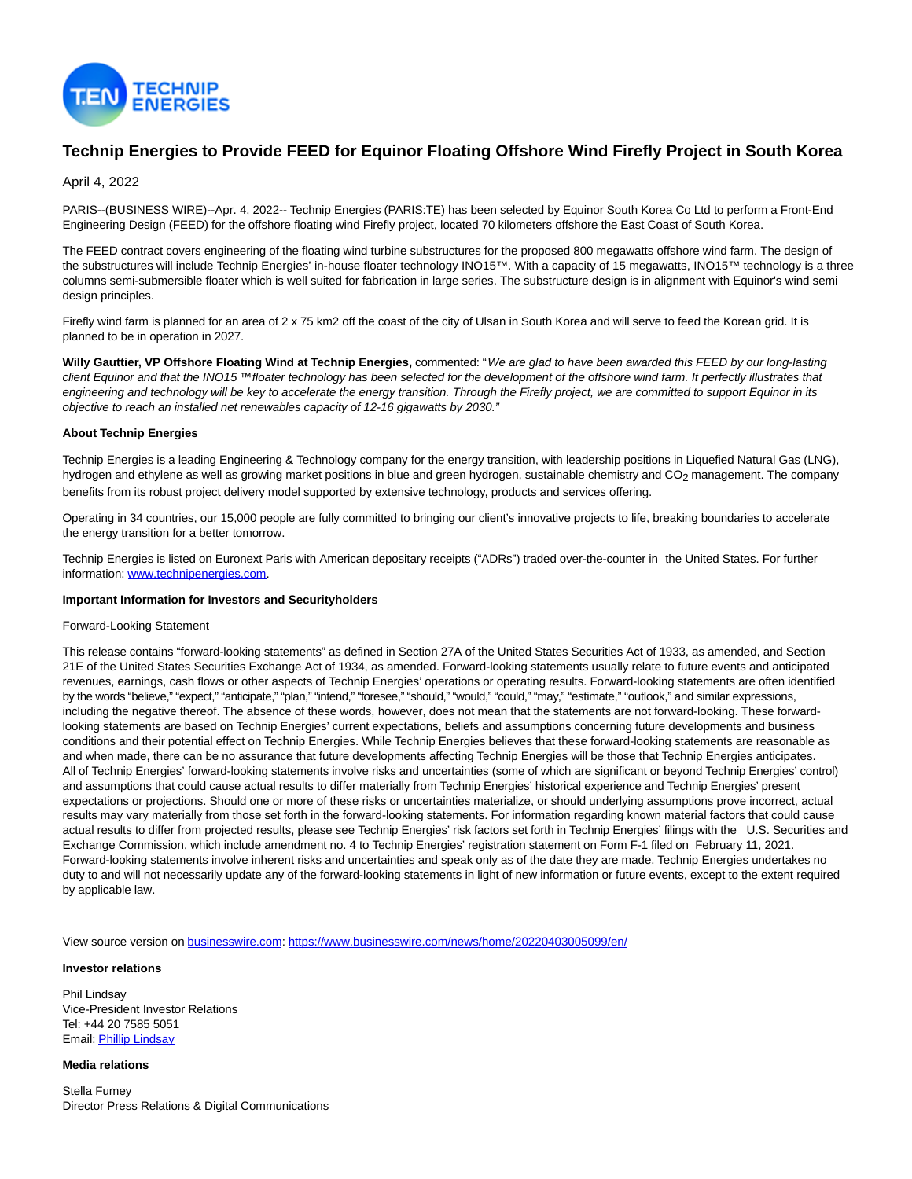

# **Technip Energies to Provide FEED for Equinor Floating Offshore Wind Firefly Project in South Korea**

## April 4, 2022

PARIS--(BUSINESS WIRE)--Apr. 4, 2022-- Technip Energies (PARIS:TE) has been selected by Equinor South Korea Co Ltd to perform a Front-End Engineering Design (FEED) for the offshore floating wind Firefly project, located 70 kilometers offshore the East Coast of South Korea.

The FEED contract covers engineering of the floating wind turbine substructures for the proposed 800 megawatts offshore wind farm. The design of the substructures will include Technip Energies' in-house floater technology INO15™. With a capacity of 15 megawatts, INO15™ technology is a three columns semi-submersible floater which is well suited for fabrication in large series. The substructure design is in alignment with Equinor's wind semi design principles.

Firefly wind farm is planned for an area of 2 x 75 km2 off the coast of the city of Ulsan in South Korea and will serve to feed the Korean grid. It is planned to be in operation in 2027.

**Willy Gauttier, VP Offshore Floating Wind at Technip Energies,** commented: "We are glad to have been awarded this FEED by our long-lasting client Equinor and that the INO15 ™ floater technology has been selected for the development of the offshore wind farm. It perfectly illustrates that engineering and technology will be key to accelerate the energy transition. Through the Firefly project, we are committed to support Equinor in its objective to reach an installed net renewables capacity of 12-16 gigawatts by 2030."

### **About Technip Energies**

Technip Energies is a leading Engineering & Technology company for the energy transition, with leadership positions in Liquefied Natural Gas (LNG), hydrogen and ethylene as well as growing market positions in blue and green hydrogen, sustainable chemistry and CO<sub>2</sub> management. The company benefits from its robust project delivery model supported by extensive technology, products and services offering.

Operating in 34 countries, our 15,000 people are fully committed to bringing our client's innovative projects to life, breaking boundaries to accelerate the energy transition for a better tomorrow.

Technip Energies is listed on Euronext Paris with American depositary receipts ("ADRs") traded over-the-counter in the United States. For further information: [www.technipenergies.com.](https://cts.businesswire.com/ct/CT?id=smartlink&url=http%3A%2F%2Fwww.technipenergies.com&esheet=52642884&newsitemid=20220403005099&lan=en-US&anchor=www.technipenergies.com&index=1&md5=ade6bcc9f1e3bc8a7ae1e65ce9f3809f)

#### **Important Information for Investors and Securityholders**

#### Forward-Looking Statement

This release contains "forward-looking statements" as defined in Section 27A of the United States Securities Act of 1933, as amended, and Section 21E of the United States Securities Exchange Act of 1934, as amended. Forward-looking statements usually relate to future events and anticipated revenues, earnings, cash flows or other aspects of Technip Energies' operations or operating results. Forward-looking statements are often identified by the words "believe," "expect," "anticipate," "plan," "intend," "foresee," "should," "would," "could," "may," "estimate," "outlook," and similar expressions, including the negative thereof. The absence of these words, however, does not mean that the statements are not forward-looking. These forwardlooking statements are based on Technip Energies' current expectations, beliefs and assumptions concerning future developments and business conditions and their potential effect on Technip Energies. While Technip Energies believes that these forward-looking statements are reasonable as and when made, there can be no assurance that future developments affecting Technip Energies will be those that Technip Energies anticipates. All of Technip Energies' forward-looking statements involve risks and uncertainties (some of which are significant or beyond Technip Energies' control) and assumptions that could cause actual results to differ materially from Technip Energies' historical experience and Technip Energies' present expectations or projections. Should one or more of these risks or uncertainties materialize, or should underlying assumptions prove incorrect, actual results may vary materially from those set forth in the forward-looking statements. For information regarding known material factors that could cause actual results to differ from projected results, please see Technip Energies' risk factors set forth in Technip Energies' filings with the U.S. Securities and Exchange Commission, which include amendment no. 4 to Technip Energies' registration statement on Form F-1 filed on February 11, 2021. Forward-looking statements involve inherent risks and uncertainties and speak only as of the date they are made. Technip Energies undertakes no duty to and will not necessarily update any of the forward-looking statements in light of new information or future events, except to the extent required by applicable law.

View source version on [businesswire.com:](http://businesswire.com/)<https://www.businesswire.com/news/home/20220403005099/en/>

#### **Investor relations**

Phil Lindsay Vice-President Investor Relations Tel: +44 20 7585 5051 Email[: Phillip Lindsay](mailto:Investor.relations@technipenergies.com)

**Media relations**

Stella Fumey Director Press Relations & Digital Communications